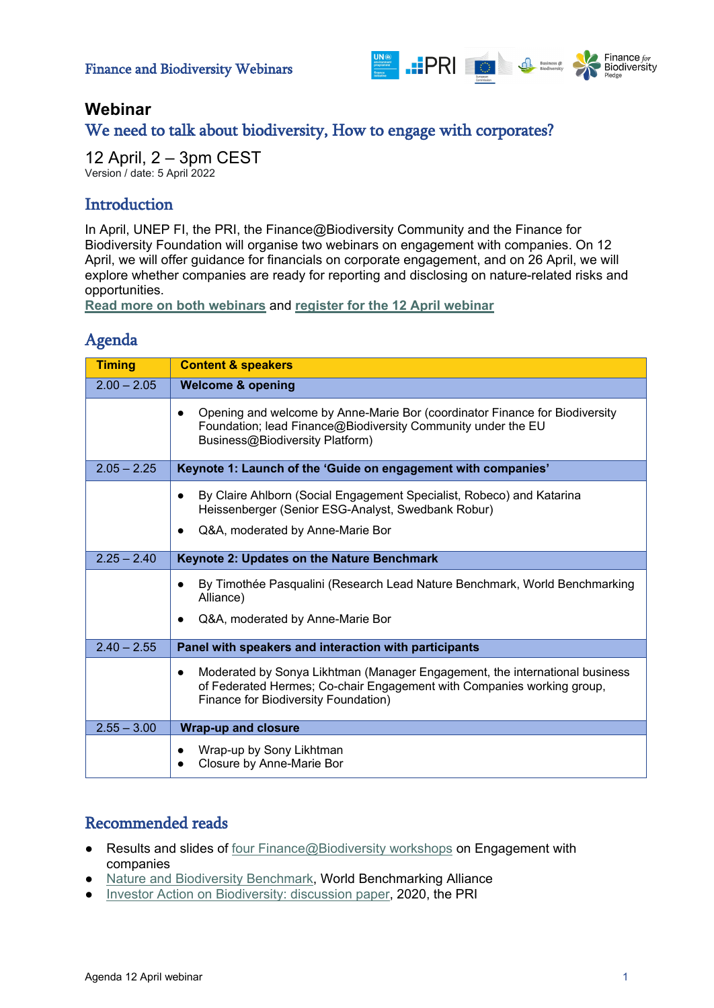

## **Webinar**

## We need to talk about biodiversity, How to engage with corporates?

12 April, 2 – 3pm CEST Version / date: 5 April 2022

## **Introduction**

In April, UNEP FI, the PRI, the Finance@Biodiversity Community and the Finance for Biodiversity Foundation will organise two webinars on engagement with companies. On 12 April, we will offer guidance for financials on corporate engagement, and on 26 April, we will explore whether companies are ready for reporting and disclosing on nature-related risks and opportunities.

**[Read more on both webinars](https://www.financeforbiodiversity.org/we-need-to-talk-about-biodiversity-webinars-on-engagement/)** and **[register](https://www.brighttalk.com/webcast/17290/535679) for the 12 April webinar**

#### Agenda

| <b>Timing</b> | <b>Content &amp; speakers</b>                                                                                                                                                                              |
|---------------|------------------------------------------------------------------------------------------------------------------------------------------------------------------------------------------------------------|
| $2.00 - 2.05$ | <b>Welcome &amp; opening</b>                                                                                                                                                                               |
|               | Opening and welcome by Anne-Marie Bor (coordinator Finance for Biodiversity<br>Foundation; lead Finance@Biodiversity Community under the EU<br>Business@Biodiversity Platform)                             |
| $2.05 - 2.25$ | Keynote 1: Launch of the 'Guide on engagement with companies'                                                                                                                                              |
|               | By Claire Ahlborn (Social Engagement Specialist, Robeco) and Katarina<br>$\bullet$<br>Heissenberger (Senior ESG-Analyst, Swedbank Robur)                                                                   |
|               | Q&A, moderated by Anne-Marie Bor                                                                                                                                                                           |
| $2.25 - 2.40$ | Keynote 2: Updates on the Nature Benchmark                                                                                                                                                                 |
|               | By Timothée Pasqualini (Research Lead Nature Benchmark, World Benchmarking<br>$\bullet$<br>Alliance)                                                                                                       |
|               | Q&A, moderated by Anne-Marie Bor                                                                                                                                                                           |
| $2.40 - 2.55$ | Panel with speakers and interaction with participants                                                                                                                                                      |
|               | Moderated by Sonya Likhtman (Manager Engagement, the international business<br>$\bullet$<br>of Federated Hermes; Co-chair Engagement with Companies working group,<br>Finance for Biodiversity Foundation) |
| $2.55 - 3.00$ | <b>Wrap-up and closure</b>                                                                                                                                                                                 |
|               | Wrap-up by Sony Likhtman<br>Closure by Anne-Marie Bor                                                                                                                                                      |

# Recommended reads

- **Results and slides of [four Finance@Biodiversity workshops](https://ec.europa.eu/environment/biodiversity/business/news/news-320_en.htm) on Engagement with** companies
- **[Nature and Biodiversity Benchmark,](https://www.worldbenchmarkingalliance.org/nature-benchmark/) World Benchmarking Alliance**
- [Investor Action on Biodiversity: discussion paper,](https://www.unpri.org/biodiversity/investor-action-on-biodiversity/6335.article) 2020, the PRI